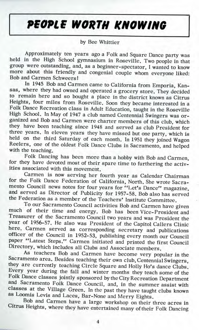## **PfOPLS WORTH KNOWING**

## by Bee Whittier

Approximately ten years ago a Folk and Square Dance party was held in the High School gymnasium in Roseville. Two people in that group were outstanding, and, as a beginner-spectator, I wanted to know more about this friendly and congenial couple whom everyone liked: Bob and Carmen Schweers!

In 1945 Bob and Carmen came to California from Emporia, Kansas, where they had owned and operated a grocery store. They decided to remain here and so bought a place in the district known as Citrus Heights, four miles from Roseville. Soon they became interested in a Folk Dance Recreation class in Adult Education, taught in the Roseville High School. In May of 1947 a club named Centennial Swingers was organized and Bob and Carmen were charter members of this club, which they have been teaching since 1948 and served as club President for three years. In eleven years they have missed but one party, which is held on the third Saturday of each month. In 1951 they joined Wagon Reelers, one of the oldest Folk Dance Clubs in Sacramento, and helped with the teaching.

Folk Dancing has been more than a hobby with Bob and Carmen, for they have devoted most of their spare time to furthering the activities associated with this movement.

Carmen is now serving her fourth year as Calendar Chairman or the Folk Dance Federation of California, North. She wrote Sacramento Council news notes for four years for "Let's Dance" magazine, and served as Director of Publicity for 1957-58. Bob also has served the Federation as a member of the Teachers' Institute Committee.

To our Sacramento Council activities Bob and Carmen have given much of their time and energy. Bob has been Vice-President and Treasurer of the Sacramento Council two years and was President the year of 1956-57. He also was President of the Capitol Callers Clinic here. Carmen served as corresponding secretary and publications fficer of the Council in  $1952-53$ , publishing every month our Council aper "Latest Steps." Carmen initiated and printed the first Council Directory, which includes all Clubs and Associate members.

As teachers Bob and Carmen have become very popular in the Sacramento area. Besides teaching their own club, Centennial Swingers, they are currently teaching Circle Square and Holly Ho's dance Clubs. Every year during the fall and winter months they teach some of the Folk Dance classes jointly sponsored by the City Recreation Department and Sacramento Folk Dance Council, and, in the summer assist with classes at the Village Green. In the past they have taught clubs known as Loomis Levis and Laces, Bar-None and Merry Eights.

Bob and Carmen have a large workshop on their three acres in Citrus Heights, where they have entertained many of their Folk Dancing